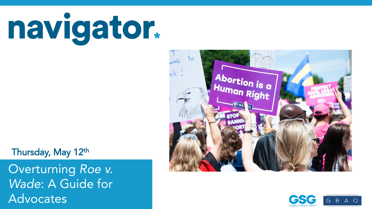navigator.

#### Thursday, May 12th

Nationwide surveys of registered voters; Each wave represents approximately 1,000 interviews taken over the prior three-five days. Latest wave conducted May 5-May 9, 2022. For more info, visit navigatorresearch.org Advocates Overturning *Roe v. Wade*: A Guide for



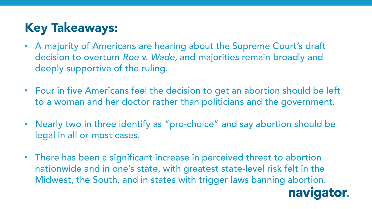## **Key Takeaways:**

- A majority of Americans are hearing about the Supreme Court's draft decision to overturn *Roe v. Wade,* and majorities remain broadly and deeply supportive of the ruling.
- Four in five Americans feel the decision to get an abortion should be left to a woman and her doctor rather than politicians and the government.
- Nearly two in three identify as "pro-choice" and say abortion should be legal in all or most cases.
- There has been a significant increase in perceived threat to abortion nationwide and in one's state, with greatest state-level risk felt in the Midwest, the South, and in states with trigger laws banning abortion.

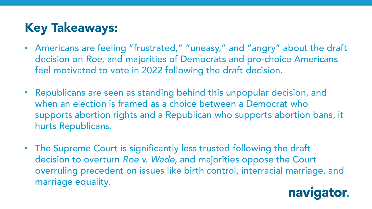# **Key Takeaways:**

- Americans are feeling "frustrated," "uneasy," and "angry" about the draft decision on *Roe*, and majorities of Democrats and pro-choice Americans feel motivated to vote in 2022 following the draft decision.
- Republicans are seen as standing behind this unpopular decision, and when an election is framed as a choice between a Democrat who supports abortion rights and a Republican who supports abortion bans, it hurts Republicans.
- The Supreme Court is significantly less trusted following the draft decision to overturn *Roe v. Wade,* and majorities oppose the Court overruling precedent on issues like birth control, interracial marriage, and marriage equality.

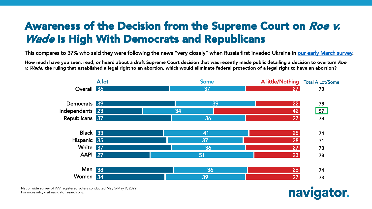#### Awareness of the Decision from the Supreme Court on Roe v. **Wade Is High With Democrats and Republicans**

This compares to 37% who said they were following the news "very closely" when Russia first invaded Ukraine in [our early March survey.](https://navigatorresearch.org/wp-content/uploads/2022/03/Navigator-Update-03.10.2022.pdf)

How much have you seen, read, or heard about a draft Supreme Court decision that was recently made public detailing a decision to overturn Roe v. Wade, the ruling that established a legal right to an abortion, which would eliminate federal protection of a legal right to have an abortion?



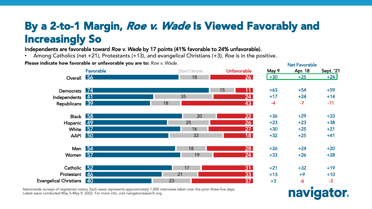#### By a 2-to-1 Margin, Roe v. Wade Is Viewed Favorably and Increasingly So

Independents are favorable toward *Roe v. Wade* by 17 points (41% favorable to 24% unfavorable).

• Among Catholics (net +21), Protestants (+13), and evangelical Christians (+3), *Roe* is in the positive.

Please indicate how favorable or unfavorable you are to: *Roe v. Wade*.



Nationwide surveys of registered voters; Each wave represents approximately 1,000 interviews taken over the prior three-five days. Latest wave conducted May 5-May 9, 2022. For more info, visit navigatorresearch.org

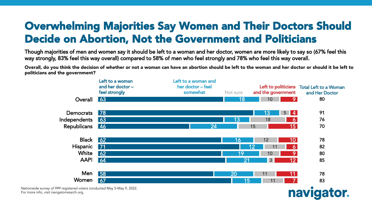#### Overwhelming Majorities Say Women and Their Doctors Should Decide on Abortion, Not the Government and Politicians

Though majorities of men and women say it should be left to a woman and her doctor, women are more likely to say so (67% feel this way strongly, 83% feel this way overall) compared to 58% of men who feel strongly and 78% who feel this way overall.

Overall, do you think the decision of whether or not a woman can have an abortion should be left to the woman and her doctor or should it be left to politicians and the government?



navigator.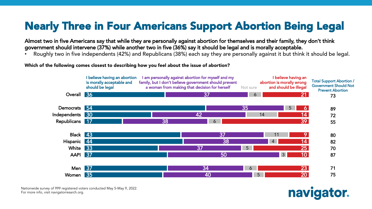## Nearly Three in Four Americans Support Abortion Being Legal

Almost two in five Americans say that while they are personally against abortion for themselves and their family, they don't think government should intervene (37%) while another two in five (36%) say it should be legal and is morally acceptable.

• Roughly two in five independents (42%) and Republicans (38%) each say they are personally against it but think it should be legal.

Which of the following comes closest to describing how you feel about the issue of abortion?



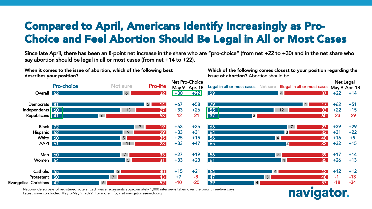#### Compared to April, Americans Identify Increasingly as Pro-Choice and Feel Abortion Should Be Legal in All or Most Cases

Since late April, there has been an 8-point net increase in the share who are "pro-choice" (from net +22 to +30) and in the net share who say abortion should be legal in all or most cases (from net +14 to +22).

describes your position? Overall <mark>62</mark> Democrats <mark>81</mark> Independents <mark>160</mark> Republicans <mark>| 41</mark> Black <mark>72</mark> Hispanic <mark>62</mark> White <mark>60</mark> AAPI <mark>61</mark> Men <mark>60</mark> Women <mark>64</mark> Catholic <mark>55</mark> Protestant <mark>50</mark> 42 Evangelical Christians 6 5 13 6 9 9 5 11 7 5 5 7 6 32 14 27 53 19 29 35 28 33 31 40 43 52 **Pro-choice** Not sure **Pro-life** 59 79 55 37 66 64 56 65 56 61 54 47 39 4 4 12 3 7 3 4 2 5 4 4 5 4 37 17 33 60 27 33 40 33 39 35 42 48 57 Legal in all or most cases Not sure Illegal in all or most cases Net Pro-Choice May 9 Apr. 18  $+30 +22$ +67 +58  $+33 +26$  $-12 -21$  $+53 +35$  $+33 +31$  $+25$   $+15$  $+33 +47$  $+27 +19$  $+33 +23$  $+15 +21$  $+7$   $-3$  $-10$   $-20$ Net Legal May 9 Apr. 18  $+14$  $+62 +51$  $+22$   $+15$ -23 -29 +39 +29  $+31 +22$  $+16 +9$  $+32$   $+15$  $+17 +14$  $+26$   $+13$  $+12 +12$  $-1$   $-13$ -18 -34

Nationwide surveys of registered voters; Each wave represents approximately 1,000 interviews taken over the prior three-five days. Latest wave conducted May 5-May 9, 2022. For more info, visit navigatorresearch.org

When it comes to the issue of abortion, which of the following best

Which of the following comes closest to your position regarding the **issue of abortion?** Abortion should be...

# **nav**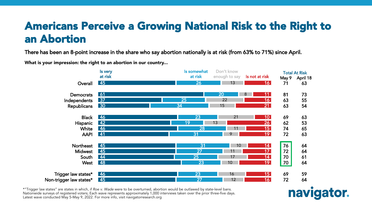#### Americans Perceive a Growing National Risk to the Right to an Abortion

There has been an 8-point increase in the share who say abortion nationally is at risk (from 63% to 71%) since April.

What is your impression: the right to an abortion in our country...



\*"Trigger law states" are states in which, if Roe v. Wade were to be overturned, abortion would be outlawed by state-level bans. Nationwide surveys of registered voters; Each wave represents approximately 1,000 interviews taken over the prior three-five days. Latest wave conducted May 5-May 9, 2022. For more info, visit navigatorresearch.org

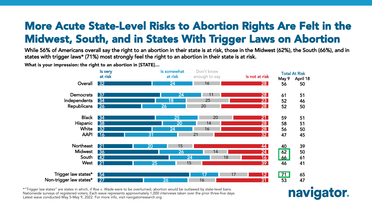#### More Acute State-Level Risks to Abortion Rights Are Felt in the Midwest, South, and in States With Trigger Laws on Abortion

While 56% of Americans overall say the right to an abortion in their state is at risk, those in the Midwest (62%), the South (66%), and in states with trigger laws\* (71%) most strongly feel the right to an abortion in their state is at risk.

What is your impression: the right to an abortion in [STATE]…



\*"Trigger law states" are states in which, if Roe v. Wade were to be overturned, abortion would be outlawed by state-level bans. Nationwide surveys of registered voters; Each wave represents approximately 1,000 interviews taken over the prior three-five days. Latest wave conducted May 5-May 9, 2022. For more info, visit navigatorresearch.org

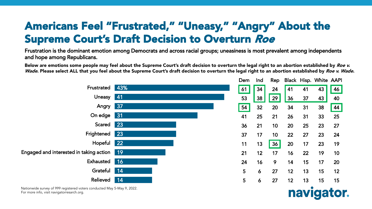#### Americans Feel "Frustrated," "Uneasy," "Angry" About the Supreme Court's Draft Decision to Overturn Roe

Frustration is the dominant emotion among Democrats and across racial groups; uneasiness is most prevalent among independents and hope among Republicans.

Below are emotions some people may feel about the Supreme Court's draft decision to overturn the legal right to an abortion established by Roe v. Wade. Please select ALL that you feel about the Supreme Court's draft decision to overturn the legal right to an abortion established by Roe v. Wade.



| Dem | Ind | Rep |    |    | Black Hisp. White AAPI |    |
|-----|-----|-----|----|----|------------------------|----|
| 61  | 34  | 24  | 41 | 41 | 43                     | 46 |
| 53  | 38  | 29  | 36 | 37 | 43                     | 40 |
| 54  | 32  | 20  | 34 | 31 | 38                     | 44 |
| 41  | 25  | 21  | 26 | 31 | 33                     | 25 |
| 36  | 21  | 10  | 20 | 25 | 23                     | 27 |
| 37  | 17  | 10  | 22 | 27 | 23                     | 24 |
| 11  | 13  | 36  | 20 | 17 | 23                     | 19 |
| 21  | 12  | 17  | 16 | 22 | 19                     | 10 |
| 24  | 16  | 9   | 14 | 15 | 17                     | 20 |
| 5   | 6   | 27  | 12 | 13 | 15                     | 12 |
| 5   | 6   | 27  | 12 | 13 | 15                     | 15 |

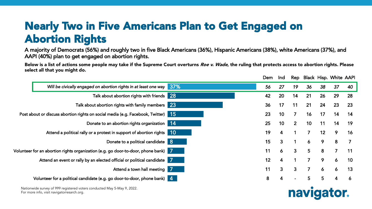#### Nearly Two in Five Americans Plan to Get Engaged on Abortion Rights

A majority of Democrats (56%) and roughly two in five Black Americans (36%), Hispanic Americans (38%), white Americans (37%), and AAPI (40%) plan to get engaged on abortion rights.

Below is a list of actions some people may take if the Supreme Court overturns Roe v. Wade, the ruling that protects access to abortion rights. Please select all that you might do.

|                                                                                    |             | Dem | Ind                     | Rep            |                |                 | <b>Black Hisp. White AAPI</b> |                |
|------------------------------------------------------------------------------------|-------------|-----|-------------------------|----------------|----------------|-----------------|-------------------------------|----------------|
| Will be civically engaged on abortion rights in at least one way                   | $\vert$ 37% | 56  | 27                      | 19             | 36             | 38              | 37                            | 40             |
| Talk about abortion rights with friends 28                                         |             | 42  | 20                      | 14             | 21             | 26              | 29                            | 28             |
| Talk about abortion rights with family members 23                                  |             | 36  | 17                      | 11             | 21             | 24              | 23                            | 23             |
| Post about or discuss abortion rights on social media (e.g. Facebook, Twitter) 15  |             | 23  | 10                      | $\overline{7}$ | 16             | 17              | 14                            | 14             |
| Donate to an abortion rights organization 14                                       |             | 25  | 10 <sub>1</sub>         | 2 <sup>1</sup> | 10             | 11              | 14                            | 19             |
| Attend a political rally or a protest in support of abortion rights 10             |             | 19  | $\overline{\mathbf{4}}$ |                | $\overline{7}$ | 12 <sub>2</sub> | 9                             | 16             |
| Donate to a political candidate 8                                                  |             | 15  | 3 <sup>2</sup>          | 1              | 6              | 9               | 8                             | $\overline{7}$ |
| Volunteer for an abortion rights organization (e.g. go door-to-door, phone bank) 7 |             | 11  | $\mathbf{6}$            | $\mathbf{3}$   | 5              | 8               | $\overline{7}$                | 11             |
| Attend an event or rally by an elected official or political candidate 7           |             | 12  | $\overline{4}$          |                | $\overline{7}$ | 9               | $\boldsymbol{6}$              | 10             |
| Attend a town hall meeting 7                                                       |             | 11  | $\mathbf{3}$            | 3 <sup>1</sup> | $\overline{7}$ | $\overline{6}$  | 6                             | 13             |
| Volunteer for a political candidate (e.g. go door-to-door, phone bank) 4           |             | 8   | 4                       |                | 5              | 5               | 4                             | 6              |
|                                                                                    |             |     |                         |                |                |                 |                               |                |

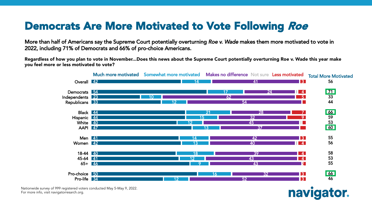#### Democrats Are More Motivated to Vote Following Roe

More than half of Americans say the Supreme Court potentially overturning *Roe v. Wade* makes them more motivated to vote in 2022, including 71% of Democrats and 66% of pro-choice Americans.

Regardless of how you plan to vote in November...Does this news about the Supreme Court potentially overturning Roe v. Wade this year make you feel more or less motivated to vote?



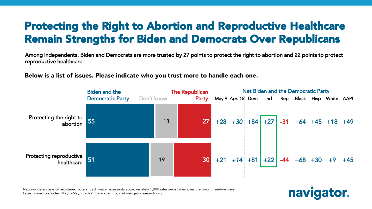#### Protecting the Right to Abortion and Reproductive Healthcare Remain Strengths for Biden and Democrats Over Republicans

Among independents, Biden and Democrats are more trusted by 27 points to protect the right to abortion and 22 points to protect reproductive healthcare.

Below is a list of issues. Please indicate who you trust more to handle each one.



Nationwide surveys of registered voters; Each wave represents approximately 1,000 interviews taken over the prior three-five days. Latest wave conducted May 5-May 9, 2022. For more info, visit navigatorresearch.org

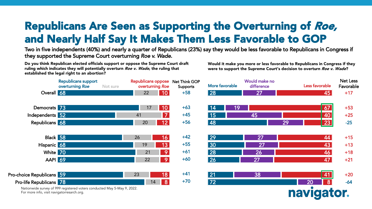## Republicans Are Seen as Supporting the Overturning of Roe, and Nearly Half Say It Makes Them Less Favorable to GOP

Two in five independents (40%) and nearly a quarter of Republicans (23%) say they would be less favorable to Republicans in Congress if they supported the Supreme Court overturning *Roe v. Wade.*

Do you think Republican elected officials support or oppose the Supreme Court draft ruling which indicates they will potentially overturn Roe v. Wade, the ruling that established the legal right to an abortion?

Would it make you more or less favorable to Republicans in Congress if they were to support the Supreme Court's decision to overturn Roe v. Wade?

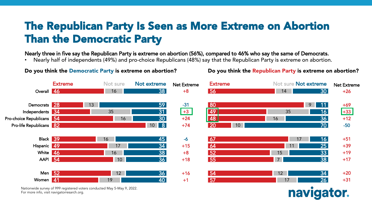#### The Republican Party Is Seen as More Extreme on Abortion Than the Democratic Party

Nearly three in five say the Republican Party is extreme on abortion (56%), compared to 46% who say the same of Democrats.

• Nearly half of independents (49%) and pro-choice Republicans (48%) say that the Republican Party is extreme on abortion.



Nationwide survey of 999 registered voters conducted May 5-May 9, 2022.<br>F For more info, visit navigatorresarch.org.

Do you think the Democratic Party is extreme on abortion?

navigator.

Do you think the Republican Party is extreme on abortion?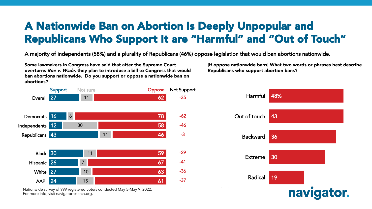#### A Nationwide Ban on Abortion Is Deeply Unpopular and Republicans Who Support It are "Harmful" and "Out of Touch"

A majority of independents (58%) and a plurality of Republicans (46%) oppose legislation that would ban abortions nationwide.

Some lawmakers in Congress have said that after the Supreme Court overturns Roe v. Wade, they plan to introduce a bill to Congress that would ban abortions nationwide. Do you support or oppose a nationwide ban on abortions?



Nationwide survey of 999 registered voters conducted May 5-May 9, 2022. For more info, visit navigatorresarch.org. The more info, visit navigatorresearch.org.

[If oppose nationwide bans] What two words or phrases best describe Republicans who support abortion bans?

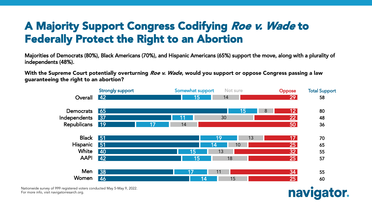#### A Majority Support Congress Codifying Roe v. Wade to Federally Protect the Right to an Abortion

Majorities of Democrats (80%), Black Americans (70%), and Hispanic Americans (65%) support the move, along with a plurality of independents (48%).

With the Supreme Court potentially overturning *Roe v. Wade*, would you support or oppose Congress passing a law guaranteeing the right to an abortion?



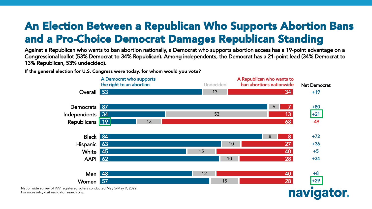#### An Election Between a Republican Who Supports Abortion Bans and a Pro-Choice Democrat Damages Republican Standing

Against a Republican who wants to ban abortion nationally, a Democrat who supports abortion access has a 19-point advantage on a Congressional ballot (53% Democrat to 34% Republican). Among independents, the Democrat has a 21-point lead (34% Democrat to 13% Republican, 53% undecided).

If the general election for U.S. Congress were today, for whom would you vote?



For more info, visit navigatorresarch.org.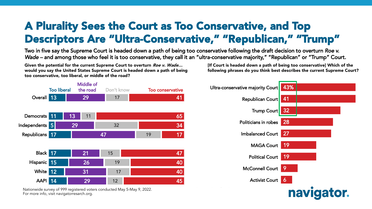#### A Plurality Sees the Court as Too Conservative, and Top Descriptors Are "Ultra-Conservative," "Republican," "Trump"

Two in five say the Supreme Court is headed down a path of being too conservative following the draft decision to overturn *Roe v. Wade* – and among those who feel it is too conservative, they call it an "ultra-conservative majority," "Republican" or "Trump" Court.

Given the potential for the current Supreme Court to overturn Roe v. Wade... would you say the United States Supreme Court is headed down a path of being too conservative, too liberal, or middle of the road?

[If Court is headed down a path of being too conservative] Which of the following phrases do you think best describes the current Supreme Court?



Nationwide survey of 999 registered voters conducted May 5-May 9, 2022. For more info, visit navigatorresarch.org. The more info, visit navigatorresearch.org.

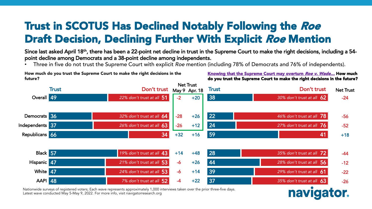#### Trust in SCOTUS Has Declined Notably Following the Roe Draft Decision, Declining Further With Explicit Roe Mention

Since last asked April 18<sup>th</sup>, there has been a 22-point net decline in trust in the Supreme Court to make the right decisions, including a 54point decline among Democrats and a 38-point decline among independents.

• Three in five do not trust the Supreme Court with explicit *Roe* mention (including 78% of Democrats and 76% of independents).



Nationwide surveys of registered voters; Each wave represents approximately 1,000 interviews taken over the prior three-five days. Latest wave conducted May 5-May 9, 2022. For more info, visit navigatorresearch.org

How much do you trust the Supreme Court to make the right decisions in the future?

Knowing that the Supreme Court may overturn Roe v. Wade... How much do you trust the Supreme Court to make the right decisions in the future?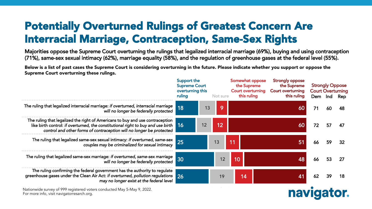#### Potentially Overturned Rulings of Greatest Concern Are Interracial Marriage, Contraception, Same-Sex Rights

Majorities oppose the Supreme Court overturning the rulings that legalized interracial marriage (69%), buying and using contraception (71%), same-sex sexual intimacy (62%), marriage equality (58%), and the regulation of greenhouse gases at the federal level (55%).

Below is a list of past cases the Supreme Court is considering overturning in the future. Please indicate whether you support or oppose the Supreme Court overturning these rulings.

|                                                                                                                                                                                                                                                      | Support the<br><b>Supreme Court</b><br>overturning this<br>ruling<br>Not sure |    | Somewhat oppose<br>the Supreme<br><b>Court overturning</b><br>this ruling | <b>Strongly oppose</b><br>the Supreme<br><b>Court overturning</b><br>this ruling | <b>Strongly Oppose</b><br><b>Court Overturning</b><br>Dem Ind Rep |    |    |     |
|------------------------------------------------------------------------------------------------------------------------------------------------------------------------------------------------------------------------------------------------------|-------------------------------------------------------------------------------|----|---------------------------------------------------------------------------|----------------------------------------------------------------------------------|-------------------------------------------------------------------|----|----|-----|
| The ruling that legalized interracial marriage: if overturned, interracial marriage<br>will no longer be federally protected                                                                                                                         | 18                                                                            | 13 | 9                                                                         |                                                                                  | <b>60</b>                                                         | 71 | 60 |     |
| The ruling that legalized the right of Americans to buy and use contraception<br>like birth control: if overturned, the constitutional right to buy and use birth $\vert$ 16<br>control and other forms of contraception will no longer be protected |                                                                               | 12 | 12                                                                        |                                                                                  | 60                                                                | 72 | 57 | 47  |
| The ruling that legalized same-sex sexual intimacy: if overturned, same-sex<br>couples may be criminalized for sexual intimacy                                                                                                                       | 25                                                                            |    | 13                                                                        | 11                                                                               | 51                                                                | 66 | 59 |     |
| The ruling that legalized same-sex marriage: if overturned, same-sex marriage<br>will no longer be federally protected                                                                                                                               | 30                                                                            |    | 12                                                                        | 10                                                                               | 48                                                                | 66 | 53 | -27 |
| The ruling confirming the federal government has the authority to regulate<br>greenhouse gases under the Clean Air Act: if overturned, pollution regulations 26<br>may no longer exist at the federal level                                          |                                                                               |    | 19                                                                        | 14                                                                               | 41                                                                | 62 | 39 |     |
| Nationwide survey of 999 registered voters conducted May 5-May 9, 2022.<br>$\Gamma$ aw sa awa infantsiak mattimatawananak awa                                                                                                                        |                                                                               |    |                                                                           |                                                                                  | navlı                                                             |    |    |     |

For more info, visit navigatorresarch.org. The more info, visit navigatorresearch.org.